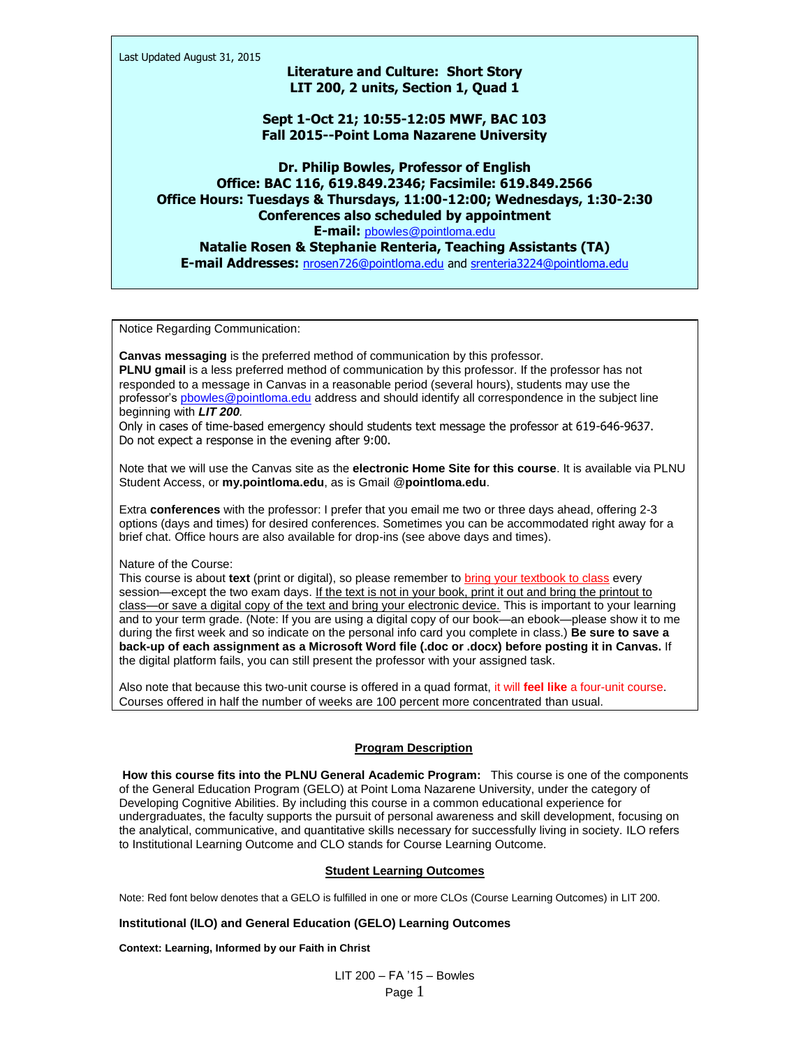Last Updated August 31, 2015

# **Literature and Culture: Short Story LIT 200, 2 units, Section 1, Quad 1**

**Sept 1-Oct 21; 10:55-12:05 MWF, BAC 103 Fall 2015--Point Loma Nazarene University**

**Dr. Philip Bowles, Professor of English Office: BAC 116, 619.849.2346; Facsimile: 619.849.2566 Office Hours: Tuesdays & Thursdays, 11:00-12:00; Wednesdays, 1:30-2:30 Conferences also scheduled by appointment E-mail:** [pbowles@pointloma.edu](mailto:pbowles@pointloma.edu) **Natalie Rosen & Stephanie Renteria, Teaching Assistants (TA) E-mail Addresses:** [nrosen726@pointloma.edu](mailto:nrosen726@pointloma.edu) and<srenteria3224@pointloma.edu>

Notice Regarding Communication:

**Canvas messaging** is the preferred method of communication by this professor. **PLNU gmail** is a less preferred method of communication by this professor. If the professor has not responded to a message in Canvas in a reasonable period (several hours), students may use the professor'[s pbowles@pointloma.edu](mailto:pbowles@pointloma.edu) address and should identify all correspondence in the subject line beginning with *LIT 200.*

Only in cases of time-based emergency should students text message the professor at 619-646-9637. Do not expect a response in the evening after 9:00.

Note that we will use the Canvas site as the **electronic Home Site for this course**. It is available via PLNU Student Access, or **my.pointloma.edu**, as is Gmail @**pointloma.edu**.

Extra **conferences** with the professor: I prefer that you email me two or three days ahead, offering 2-3 options (days and times) for desired conferences. Sometimes you can be accommodated right away for a brief chat. Office hours are also available for drop-ins (see above days and times).

Nature of the Course:

This course is about **text** (print or digital), so please remember to bring your textbook to class every session—except the two exam days. If the text is not in your book, print it out and bring the printout to class—or save a digital copy of the text and bring your electronic device. This is important to your learning and to your term grade. (Note: If you are using a digital copy of our book—an ebook—please show it to me during the first week and so indicate on the personal info card you complete in class.) **Be sure to save a back-up of each assignment as a Microsoft Word file (.doc or .docx) before posting it in Canvas.** If the digital platform fails, you can still present the professor with your assigned task.

Also note that because this two-unit course is offered in a quad format, it will **feel like** a four-unit course. Courses offered in half the number of weeks are 100 percent more concentrated than usual.

## **Program Description**

**How this course fits into the PLNU General Academic Program:** This course is one of the components of the General Education Program (GELO) at Point Loma Nazarene University, under the category of Developing Cognitive Abilities. By including this course in a common educational experience for undergraduates, the faculty supports the pursuit of personal awareness and skill development, focusing on the analytical, communicative, and quantitative skills necessary for successfully living in society. ILO refers to Institutional Learning Outcome and CLO stands for Course Learning Outcome.

## **Student Learning Outcomes**

Note: Red font below denotes that a GELO is fulfilled in one or more CLOs (Course Learning Outcomes) in LIT 200.

**Institutional (ILO) and General Education (GELO) Learning Outcomes**

**Context: Learning, Informed by our Faith in Christ**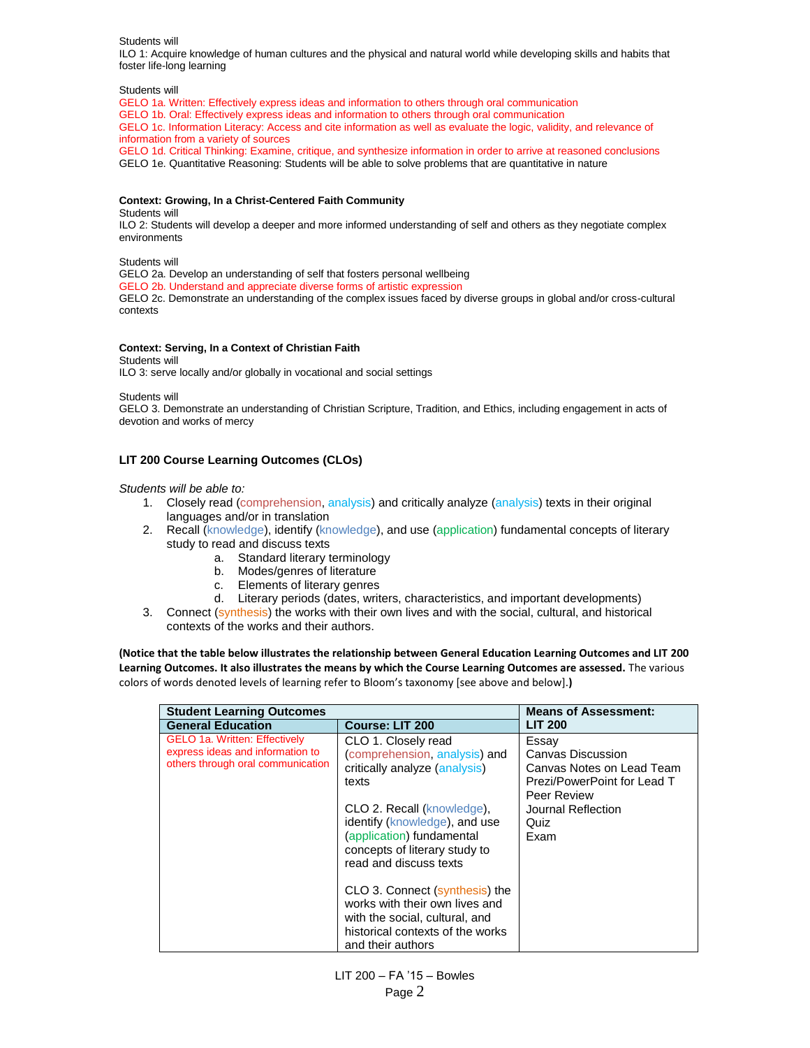Students will

ILO 1: Acquire knowledge of human cultures and the physical and natural world while developing skills and habits that foster life-long learning

Students will

GELO 1a. Written: Effectively express ideas and information to others through oral communication GELO 1b. Oral: Effectively express ideas and information to others through oral communication GELO 1c. Information Literacy: Access and cite information as well as evaluate the logic, validity, and relevance of information from a variety of sources GELO 1d. Critical Thinking: Examine, critique, and synthesize information in order to arrive at reasoned conclusions

GELO 1e. Quantitative Reasoning: Students will be able to solve problems that are quantitative in nature

#### **Context: Growing, In a Christ-Centered Faith Community**

Students will

ILO 2: Students will develop a deeper and more informed understanding of self and others as they negotiate complex environments

Students will

GELO 2a. Develop an understanding of self that fosters personal wellbeing

GELO 2b. Understand and appreciate diverse forms of artistic expression

GELO 2c. Demonstrate an understanding of the complex issues faced by diverse groups in global and/or cross-cultural contexts

#### **Context: Serving, In a Context of Christian Faith**

Students will

ILO 3: serve locally and/or globally in vocational and social settings

Students will

GELO 3. Demonstrate an understanding of Christian Scripture, Tradition, and Ethics, including engagement in acts of devotion and works of mercy

## **LIT 200 Course Learning Outcomes (CLOs)**

#### *Students will be able to:*

- 1. Closely read (comprehension, analysis) and critically analyze (analysis) texts in their original languages and/or in translation
- 2. Recall (knowledge), identify (knowledge), and use (application) fundamental concepts of literary study to read and discuss texts
	- a. Standard literary terminology
	- b. Modes/genres of literature
	- c. Elements of literary genres
	- d. Literary periods (dates, writers, characteristics, and important developments)
- 3. Connect (synthesis) the works with their own lives and with the social, cultural, and historical contexts of the works and their authors.

**(Notice that the table below illustrates the relationship between General Education Learning Outcomes and LIT 200 Learning Outcomes. It also illustrates the means by which the Course Learning Outcomes are assessed.** The various colors of words denoted levels of learning refer to Bloom's taxonomy [see above and below].**)**

| <b>Student Learning Outcomes</b>                                                                              |                                                                                                                                                                                                                                                                                                                           | <b>Means of Assessment:</b>                                                                                                                 |
|---------------------------------------------------------------------------------------------------------------|---------------------------------------------------------------------------------------------------------------------------------------------------------------------------------------------------------------------------------------------------------------------------------------------------------------------------|---------------------------------------------------------------------------------------------------------------------------------------------|
| <b>General Education</b>                                                                                      | <b>Course: LIT 200</b>                                                                                                                                                                                                                                                                                                    | <b>LIT 200</b>                                                                                                                              |
| <b>GELO 1a. Written: Effectively</b><br>express ideas and information to<br>others through oral communication | CLO 1. Closely read<br>(comprehension, analysis) and<br>critically analyze (analysis)<br>texts<br>CLO 2. Recall (knowledge),<br>identify (knowledge), and use<br>(application) fundamental<br>concepts of literary study to<br>read and discuss texts<br>CLO 3. Connect (synthesis) the<br>works with their own lives and | Essay<br>Canvas Discussion<br>Canvas Notes on Lead Team<br>Prezi/PowerPoint for Lead T<br>Peer Review<br>Journal Reflection<br>Quiz<br>Exam |
|                                                                                                               | with the social, cultural, and<br>historical contexts of the works                                                                                                                                                                                                                                                        |                                                                                                                                             |
|                                                                                                               | and their authors                                                                                                                                                                                                                                                                                                         |                                                                                                                                             |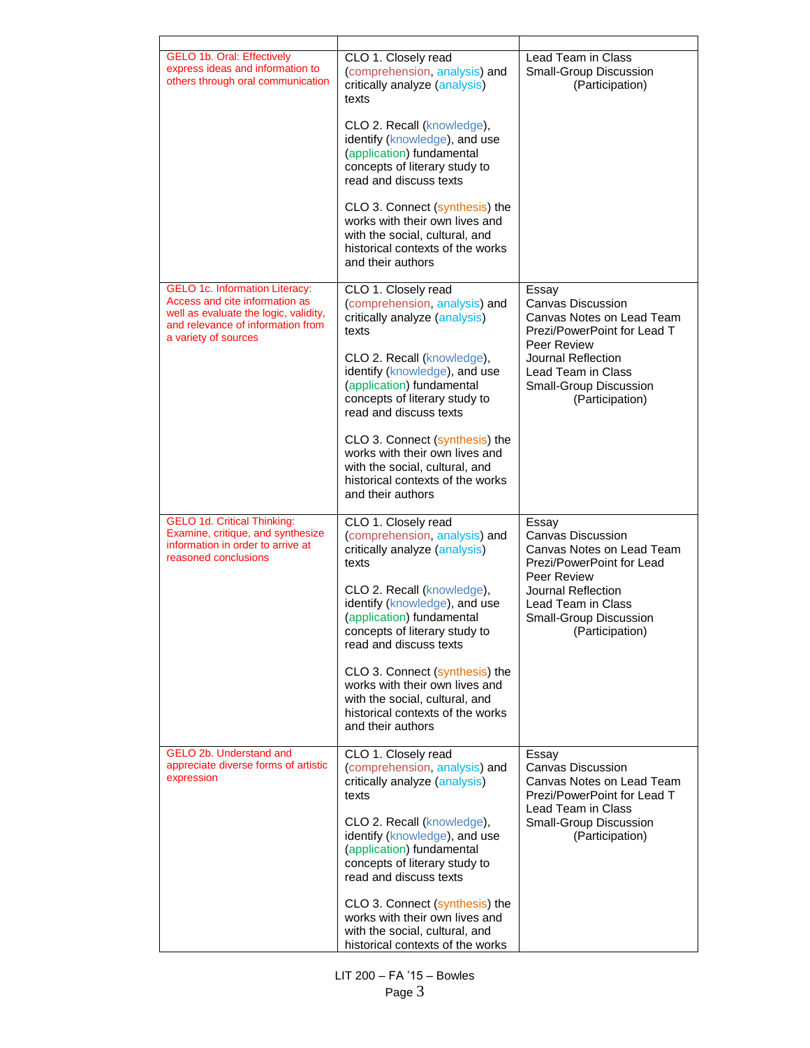| <b>GELO 1b. Oral: Effectively</b><br>express ideas and information to<br>others through oral communication                                                                    | CLO 1. Closely read<br>(comprehension, analysis) and<br>critically analyze (analysis)<br>texts                                                              | Lead Team in Class<br>Small-Group Discussion<br>(Participation)                                              |
|-------------------------------------------------------------------------------------------------------------------------------------------------------------------------------|-------------------------------------------------------------------------------------------------------------------------------------------------------------|--------------------------------------------------------------------------------------------------------------|
|                                                                                                                                                                               | CLO 2. Recall (knowledge),<br>identify (knowledge), and use<br>(application) fundamental<br>concepts of literary study to<br>read and discuss texts         |                                                                                                              |
|                                                                                                                                                                               | CLO 3. Connect (synthesis) the<br>works with their own lives and<br>with the social, cultural, and<br>historical contexts of the works<br>and their authors |                                                                                                              |
| <b>GELO 1c. Information Literacy:</b><br>Access and cite information as<br>well as evaluate the logic, validity,<br>and relevance of information from<br>a variety of sources | CLO 1. Closely read<br>(comprehension, analysis) and<br>critically analyze (analysis)<br>texts                                                              | Essay<br>Canvas Discussion<br>Canvas Notes on Lead Team<br>Prezi/PowerPoint for Lead T                       |
|                                                                                                                                                                               | CLO 2. Recall (knowledge),<br>identify (knowledge), and use<br>(application) fundamental<br>concepts of literary study to<br>read and discuss texts         | Peer Review<br>Journal Reflection<br>Lead Team in Class<br>Small-Group Discussion<br>(Participation)         |
|                                                                                                                                                                               | CLO 3. Connect (synthesis) the<br>works with their own lives and<br>with the social, cultural, and<br>historical contexts of the works<br>and their authors |                                                                                                              |
| <b>GELO 1d. Critical Thinking:</b><br>Examine, critique, and synthesize<br>information in order to arrive at<br>reasoned conclusions                                          | CLO 1. Closely read<br>(comprehension, analysis) and<br>critically analyze (analysis)<br>texts                                                              | Essay<br><b>Canvas Discussion</b><br>Canvas Notes on Lead Team<br>Prezi/PowerPoint for Lead<br>Peer Review   |
|                                                                                                                                                                               | CLO 2. Recall (knowledge),<br>identify (knowledge), and use<br>(application) fundamental<br>concepts of literary study to<br>read and discuss texts         | Journal Reflection<br>Lead Team in Class<br>Small-Group Discussion<br>(Participation)                        |
|                                                                                                                                                                               | CLO 3. Connect (synthesis) the<br>works with their own lives and<br>with the social, cultural, and<br>historical contexts of the works<br>and their authors |                                                                                                              |
| GELO 2b. Understand and<br>appreciate diverse forms of artistic<br>expression                                                                                                 | CLO 1. Closely read<br>(comprehension, analysis) and<br>critically analyze (analysis)<br>texts                                                              | Essay<br>Canvas Discussion<br>Canvas Notes on Lead Team<br>Prezi/PowerPoint for Lead T<br>Lead Team in Class |
|                                                                                                                                                                               | CLO 2. Recall (knowledge),<br>identify (knowledge), and use<br>(application) fundamental<br>concepts of literary study to<br>read and discuss texts         | Small-Group Discussion<br>(Participation)                                                                    |
|                                                                                                                                                                               | CLO 3. Connect (synthesis) the<br>works with their own lives and<br>with the social, cultural, and<br>historical contexts of the works                      |                                                                                                              |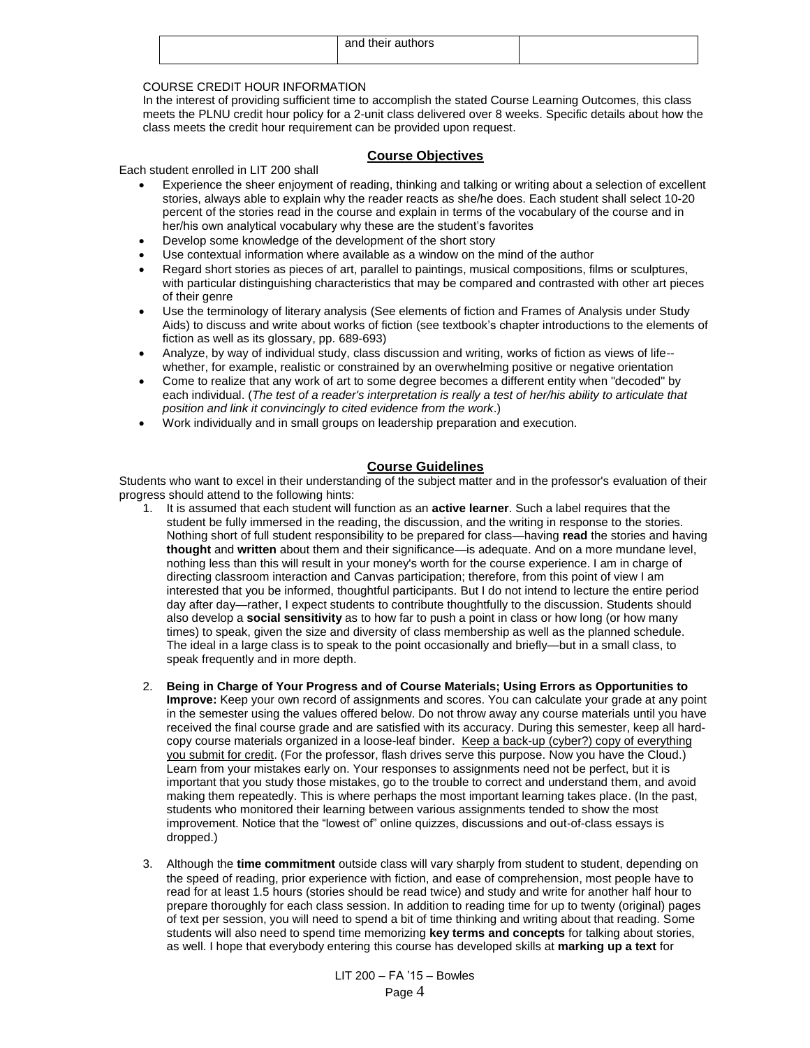| and their authors |  |
|-------------------|--|
|-------------------|--|

# COURSE CREDIT HOUR INFORMATION

In the interest of providing sufficient time to accomplish the stated Course Learning Outcomes, this class meets the PLNU credit hour policy for a 2-unit class delivered over 8 weeks. Specific details about how the class meets the credit hour requirement can be provided upon request.

## **Course Objectives**

Each student enrolled in LIT 200 shall

- Experience the sheer enjoyment of reading, thinking and talking or writing about a selection of excellent stories, always able to explain why the reader reacts as she/he does. Each student shall select 10-20 percent of the stories read in the course and explain in terms of the vocabulary of the course and in her/his own analytical vocabulary why these are the student's favorites
- Develop some knowledge of the development of the short story
- Use contextual information where available as a window on the mind of the author
- Regard short stories as pieces of art, parallel to paintings, musical compositions, films or sculptures, with particular distinguishing characteristics that may be compared and contrasted with other art pieces of their genre
- Use the terminology of literary analysis (See elements of fiction and Frames of Analysis under Study Aids) to discuss and write about works of fiction (see textbook's chapter introductions to the elements of fiction as well as its glossary, pp. 689-693)
- Analyze, by way of individual study, class discussion and writing, works of fiction as views of life- whether, for example, realistic or constrained by an overwhelming positive or negative orientation
- Come to realize that any work of art to some degree becomes a different entity when "decoded" by each individual. (*The test of a reader's interpretation is really a test of her/his ability to articulate that position and link it convincingly to cited evidence from the work*.)
- Work individually and in small groups on leadership preparation and execution.

# **Course Guidelines**

Students who want to excel in their understanding of the subject matter and in the professor's evaluation of their progress should attend to the following hints:

- 1. It is assumed that each student will function as an **active learner**. Such a label requires that the student be fully immersed in the reading, the discussion, and the writing in response to the stories. Nothing short of full student responsibility to be prepared for class—having **read** the stories and having **thought** and **written** about them and their significance—is adequate. And on a more mundane level, nothing less than this will result in your money's worth for the course experience. I am in charge of directing classroom interaction and Canvas participation; therefore, from this point of view I am interested that you be informed, thoughtful participants. But I do not intend to lecture the entire period day after day—rather, I expect students to contribute thoughtfully to the discussion. Students should also develop a **social sensitivity** as to how far to push a point in class or how long (or how many times) to speak, given the size and diversity of class membership as well as the planned schedule. The ideal in a large class is to speak to the point occasionally and briefly—but in a small class, to speak frequently and in more depth.
- 2. **Being in Charge of Your Progress and of Course Materials; Using Errors as Opportunities to Improve:** Keep your own record of assignments and scores. You can calculate your grade at any point in the semester using the values offered below. Do not throw away any course materials until you have received the final course grade and are satisfied with its accuracy. During this semester, keep all hardcopy course materials organized in a loose-leaf binder. Keep a back-up (cyber?) copy of everything you submit for credit. (For the professor, flash drives serve this purpose. Now you have the Cloud.) Learn from your mistakes early on. Your responses to assignments need not be perfect, but it is important that you study those mistakes, go to the trouble to correct and understand them, and avoid making them repeatedly. This is where perhaps the most important learning takes place. (In the past, students who monitored their learning between various assignments tended to show the most improvement. Notice that the "lowest of" online quizzes, discussions and out-of-class essays is dropped.)
- 3. Although the **time commitment** outside class will vary sharply from student to student, depending on the speed of reading, prior experience with fiction, and ease of comprehension, most people have to read for at least 1.5 hours (stories should be read twice) and study and write for another half hour to prepare thoroughly for each class session. In addition to reading time for up to twenty (original) pages of text per session, you will need to spend a bit of time thinking and writing about that reading. Some students will also need to spend time memorizing **key terms and concepts** for talking about stories, as well. I hope that everybody entering this course has developed skills at **marking up a text** for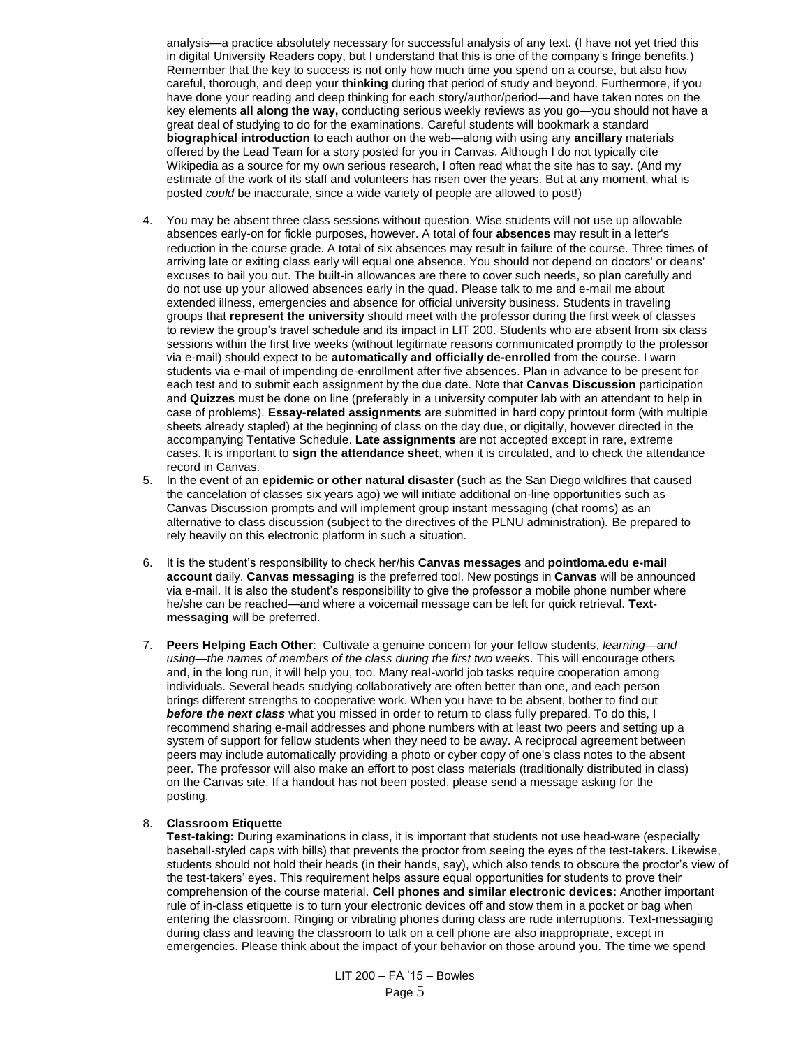analysis—a practice absolutely necessary for successful analysis of any text. (I have not yet tried this in digital University Readers copy, but I understand that this is one of the company's fringe benefits.) Remember that the key to success is not only how much time you spend on a course, but also how careful, thorough, and deep your **thinking** during that period of study and beyond. Furthermore, if you have done your reading and deep thinking for each story/author/period—and have taken notes on the key elements **all along the way,** conducting serious weekly reviews as you go—you should not have a great deal of studying to do for the examinations. Careful students will bookmark a standard **biographical introduction** to each author on the web—along with using any **ancillary** materials offered by the Lead Team for a story posted for you in Canvas. Although I do not typically cite Wikipedia as a source for my own serious research, I often read what the site has to say. (And my estimate of the work of its staff and volunteers has risen over the years. But at any moment, what is posted *could* be inaccurate, since a wide variety of people are allowed to post!)

- 4. You may be absent three class sessions without question. Wise students will not use up allowable absences early-on for fickle purposes, however. A total of four **absences** may result in a letter's reduction in the course grade. A total of six absences may result in failure of the course. Three times of arriving late or exiting class early will equal one absence. You should not depend on doctors' or deans' excuses to bail you out. The built-in allowances are there to cover such needs, so plan carefully and do not use up your allowed absences early in the quad. Please talk to me and e-mail me about extended illness, emergencies and absence for official university business. Students in traveling groups that **represent the university** should meet with the professor during the first week of classes to review the group's travel schedule and its impact in LIT 200. Students who are absent from six class sessions within the first five weeks (without legitimate reasons communicated promptly to the professor via e-mail) should expect to be **automatically and officially de-enrolled** from the course. I warn students via e-mail of impending de-enrollment after five absences. Plan in advance to be present for each test and to submit each assignment by the due date. Note that **Canvas Discussion** participation and **Quizzes** must be done on line (preferably in a university computer lab with an attendant to help in case of problems). **Essay-related assignments** are submitted in hard copy printout form (with multiple sheets already stapled) at the beginning of class on the day due, or digitally, however directed in the accompanying Tentative Schedule. **Late assignments** are not accepted except in rare, extreme cases. It is important to **sign the attendance sheet**, when it is circulated, and to check the attendance record in Canvas.
- 5. In the event of an **epidemic or other natural disaster (**such as the San Diego wildfires that caused the cancelation of classes six years ago) we will initiate additional on-line opportunities such as Canvas Discussion prompts and will implement group instant messaging (chat rooms) as an alternative to class discussion (subject to the directives of the PLNU administration). Be prepared to rely heavily on this electronic platform in such a situation.
- 6. It is the student's responsibility to check her/his **Canvas messages** and **pointloma.edu e-mail account** daily. **Canvas messaging** is the preferred tool. New postings in **Canvas** will be announced via e-mail. It is also the student's responsibility to give the professor a mobile phone number where he/she can be reached—and where a voicemail message can be left for quick retrieval. **Textmessaging** will be preferred.
- 7. **Peers Helping Each Other**: Cultivate a genuine concern for your fellow students, *learning—and using—the names of members of the class during the first two weeks*. This will encourage others and, in the long run, it will help you, too. Many real-world job tasks require cooperation among individuals. Several heads studying collaboratively are often better than one, and each person brings different strengths to cooperative work. When you have to be absent, bother to find out *before the next class* what you missed in order to return to class fully prepared. To do this, I recommend sharing e-mail addresses and phone numbers with at least two peers and setting up a system of support for fellow students when they need to be away. A reciprocal agreement between peers may include automatically providing a photo or cyber copy of one's class notes to the absent peer. The professor will also make an effort to post class materials (traditionally distributed in class) on the Canvas site. If a handout has not been posted, please send a message asking for the posting.

## 8. **Classroom Etiquette**

**Test-taking:** During examinations in class, it is important that students not use head-ware (especially baseball-styled caps with bills) that prevents the proctor from seeing the eyes of the test-takers. Likewise, students should not hold their heads (in their hands, say), which also tends to obscure the proctor's view of the test-takers' eyes. This requirement helps assure equal opportunities for students to prove their comprehension of the course material. **Cell phones and similar electronic devices:** Another important rule of in-class etiquette is to turn your electronic devices off and stow them in a pocket or bag when entering the classroom. Ringing or vibrating phones during class are rude interruptions. Text-messaging during class and leaving the classroom to talk on a cell phone are also inappropriate, except in emergencies. Please think about the impact of your behavior on those around you. The time we spend

> LIT 200 – FA '15 – Bowles Page 5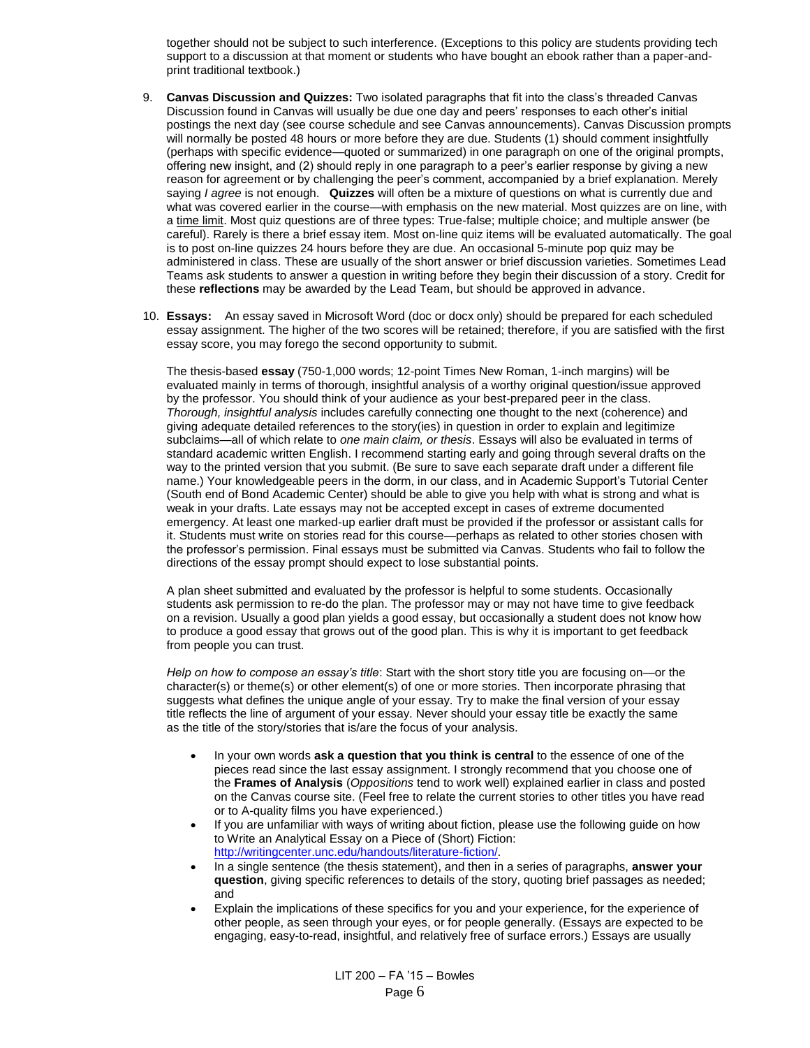together should not be subject to such interference. (Exceptions to this policy are students providing tech support to a discussion at that moment or students who have bought an ebook rather than a paper-andprint traditional textbook.)

- 9. **Canvas Discussion and Quizzes:** Two isolated paragraphs that fit into the class's threaded Canvas Discussion found in Canvas will usually be due one day and peers' responses to each other's initial postings the next day (see course schedule and see Canvas announcements). Canvas Discussion prompts will normally be posted 48 hours or more before they are due. Students (1) should comment insightfully (perhaps with specific evidence—quoted or summarized) in one paragraph on one of the original prompts, offering new insight, and (2) should reply in one paragraph to a peer's earlier response by giving a new reason for agreement or by challenging the peer's comment, accompanied by a brief explanation. Merely saying *I agree* is not enough. **Quizzes** will often be a mixture of questions on what is currently due and what was covered earlier in the course—with emphasis on the new material. Most quizzes are on line, with a time limit. Most quiz questions are of three types: True-false; multiple choice; and multiple answer (be careful). Rarely is there a brief essay item. Most on-line quiz items will be evaluated automatically. The goal is to post on-line quizzes 24 hours before they are due. An occasional 5-minute pop quiz may be administered in class. These are usually of the short answer or brief discussion varieties. Sometimes Lead Teams ask students to answer a question in writing before they begin their discussion of a story. Credit for these **reflections** may be awarded by the Lead Team, but should be approved in advance.
- 10. **Essays:** An essay saved in Microsoft Word (doc or docx only) should be prepared for each scheduled essay assignment. The higher of the two scores will be retained; therefore, if you are satisfied with the first essay score, you may forego the second opportunity to submit.

The thesis-based **essay** (750-1,000 words; 12-point Times New Roman, 1-inch margins) will be evaluated mainly in terms of thorough, insightful analysis of a worthy original question/issue approved by the professor. You should think of your audience as your best-prepared peer in the class. *Thorough, insightful analysis* includes carefully connecting one thought to the next (coherence) and giving adequate detailed references to the story(ies) in question in order to explain and legitimize subclaims—all of which relate to *one main claim, or thesis*. Essays will also be evaluated in terms of standard academic written English. I recommend starting early and going through several drafts on the way to the printed version that you submit. (Be sure to save each separate draft under a different file name.) Your knowledgeable peers in the dorm, in our class, and in Academic Support's Tutorial Center (South end of Bond Academic Center) should be able to give you help with what is strong and what is weak in your drafts. Late essays may not be accepted except in cases of extreme documented emergency. At least one marked-up earlier draft must be provided if the professor or assistant calls for it. Students must write on stories read for this course—perhaps as related to other stories chosen with the professor's permission. Final essays must be submitted via Canvas. Students who fail to follow the directions of the essay prompt should expect to lose substantial points.

A plan sheet submitted and evaluated by the professor is helpful to some students. Occasionally students ask permission to re-do the plan. The professor may or may not have time to give feedback on a revision. Usually a good plan yields a good essay, but occasionally a student does not know how to produce a good essay that grows out of the good plan. This is why it is important to get feedback from people you can trust.

*Help on how to compose an essay's title*: Start with the short story title you are focusing on—or the character(s) or theme(s) or other element(s) of one or more stories. Then incorporate phrasing that suggests what defines the unique angle of your essay. Try to make the final version of your essay title reflects the line of argument of your essay. Never should your essay title be exactly the same as the title of the story/stories that is/are the focus of your analysis.

- In your own words **ask a question that you think is central** to the essence of one of the pieces read since the last essay assignment. I strongly recommend that you choose one of the **Frames of Analysis** (*Oppositions* tend to work well) explained earlier in class and posted on the Canvas course site. (Feel free to relate the current stories to other titles you have read or to A-quality films you have experienced.)
- If you are unfamiliar with ways of writing about fiction, please use the following guide on how to Write an Analytical Essay on a Piece of (Short) Fiction: [http://writingcenter.unc.edu/handouts/literature-fiction/.](http://writingcenter.unc.edu/handouts/literature-fiction/)
- In a single sentence (the thesis statement), and then in a series of paragraphs, **answer your question**, giving specific references to details of the story, quoting brief passages as needed; and
- Explain the implications of these specifics for you and your experience, for the experience of other people, as seen through your eyes, or for people generally. (Essays are expected to be engaging, easy-to-read, insightful, and relatively free of surface errors.) Essays are usually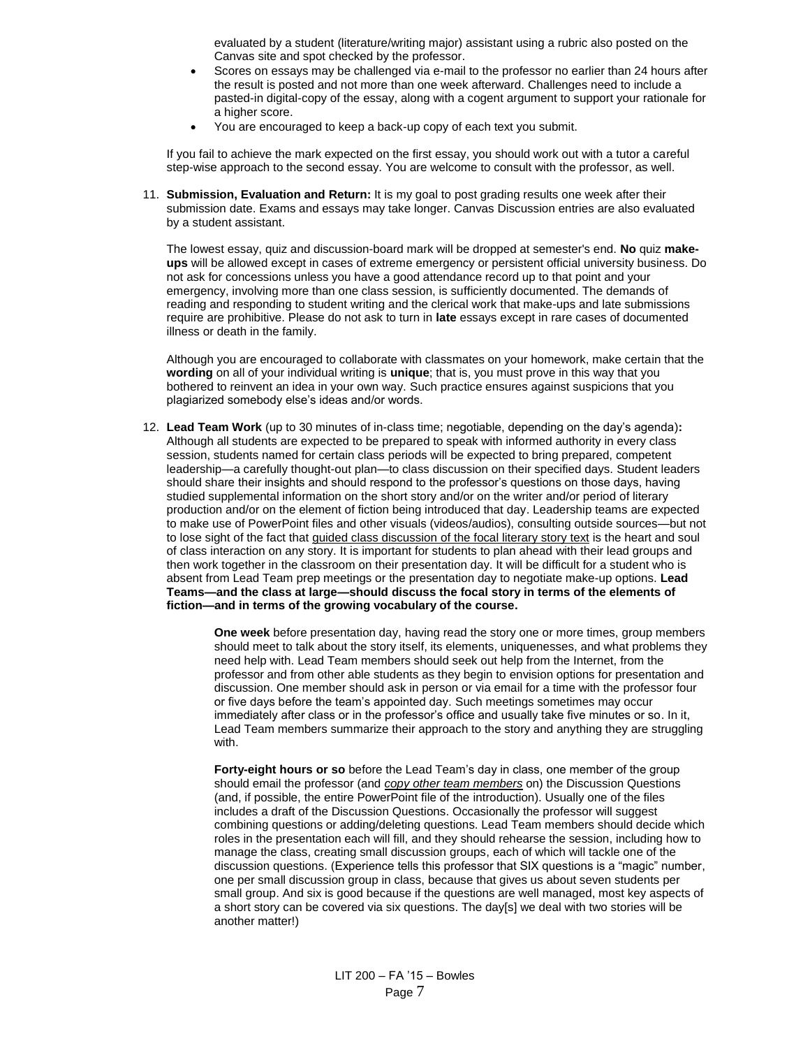evaluated by a student (literature/writing major) assistant using a rubric also posted on the Canvas site and spot checked by the professor.

- Scores on essays may be challenged via e-mail to the professor no earlier than 24 hours after the result is posted and not more than one week afterward. Challenges need to include a pasted-in digital-copy of the essay, along with a cogent argument to support your rationale for a higher score.
- You are encouraged to keep a back-up copy of each text you submit.

If you fail to achieve the mark expected on the first essay, you should work out with a tutor a careful step-wise approach to the second essay. You are welcome to consult with the professor, as well.

11. **Submission, Evaluation and Return:** It is my goal to post grading results one week after their submission date. Exams and essays may take longer. Canvas Discussion entries are also evaluated by a student assistant.

The lowest essay, quiz and discussion-board mark will be dropped at semester's end. **No** quiz **makeups** will be allowed except in cases of extreme emergency or persistent official university business. Do not ask for concessions unless you have a good attendance record up to that point and your emergency, involving more than one class session, is sufficiently documented. The demands of reading and responding to student writing and the clerical work that make-ups and late submissions require are prohibitive. Please do not ask to turn in **late** essays except in rare cases of documented illness or death in the family.

Although you are encouraged to collaborate with classmates on your homework, make certain that the **wording** on all of your individual writing is **unique**; that is, you must prove in this way that you bothered to reinvent an idea in your own way. Such practice ensures against suspicions that you plagiarized somebody else's ideas and/or words.

12. **Lead Team Work** (up to 30 minutes of in-class time; negotiable, depending on the day's agenda)**:** Although all students are expected to be prepared to speak with informed authority in every class session, students named for certain class periods will be expected to bring prepared, competent leadership—a carefully thought-out plan—to class discussion on their specified days. Student leaders should share their insights and should respond to the professor's questions on those days, having studied supplemental information on the short story and/or on the writer and/or period of literary production and/or on the element of fiction being introduced that day. Leadership teams are expected to make use of PowerPoint files and other visuals (videos/audios), consulting outside sources—but not to lose sight of the fact that guided class discussion of the focal literary story text is the heart and soul of class interaction on any story. It is important for students to plan ahead with their lead groups and then work together in the classroom on their presentation day. It will be difficult for a student who is absent from Lead Team prep meetings or the presentation day to negotiate make-up options. **Lead Teams—and the class at large—should discuss the focal story in terms of the elements of fiction—and in terms of the growing vocabulary of the course.**

> **One week** before presentation day, having read the story one or more times, group members should meet to talk about the story itself, its elements, uniquenesses, and what problems they need help with. Lead Team members should seek out help from the Internet, from the professor and from other able students as they begin to envision options for presentation and discussion. One member should ask in person or via email for a time with the professor four or five days before the team's appointed day. Such meetings sometimes may occur immediately after class or in the professor's office and usually take five minutes or so. In it, Lead Team members summarize their approach to the story and anything they are struggling with.

> **Forty-eight hours or so** before the Lead Team's day in class, one member of the group should email the professor (and *copy other team members* on) the Discussion Questions (and, if possible, the entire PowerPoint file of the introduction). Usually one of the files includes a draft of the Discussion Questions. Occasionally the professor will suggest combining questions or adding/deleting questions. Lead Team members should decide which roles in the presentation each will fill, and they should rehearse the session, including how to manage the class, creating small discussion groups, each of which will tackle one of the discussion questions. (Experience tells this professor that SIX questions is a "magic" number, one per small discussion group in class, because that gives us about seven students per small group. And six is good because if the questions are well managed, most key aspects of a short story can be covered via six questions. The day[s] we deal with two stories will be another matter!)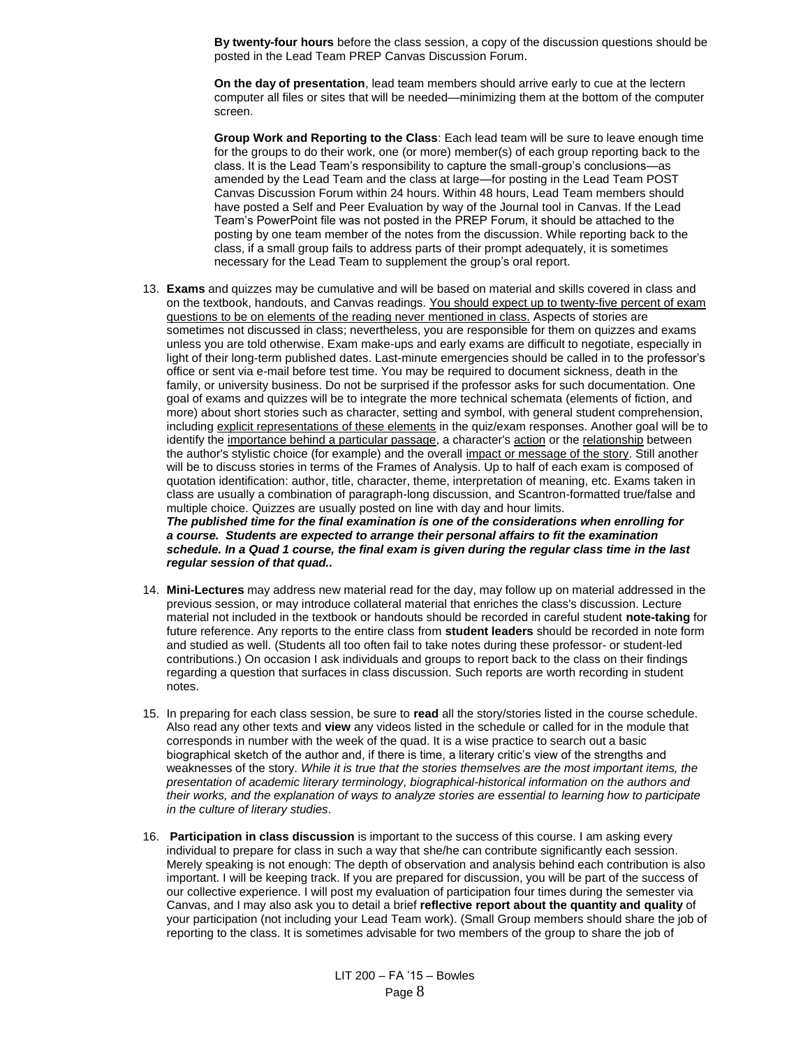**By twenty-four hours** before the class session, a copy of the discussion questions should be posted in the Lead Team PREP Canvas Discussion Forum.

**On the day of presentation**, lead team members should arrive early to cue at the lectern computer all files or sites that will be needed—minimizing them at the bottom of the computer screen.

**Group Work and Reporting to the Class**: Each lead team will be sure to leave enough time for the groups to do their work, one (or more) member(s) of each group reporting back to the class. It is the Lead Team's responsibility to capture the small-group's conclusions—as amended by the Lead Team and the class at large—for posting in the Lead Team POST Canvas Discussion Forum within 24 hours. Within 48 hours, Lead Team members should have posted a Self and Peer Evaluation by way of the Journal tool in Canvas. If the Lead Team's PowerPoint file was not posted in the PREP Forum, it should be attached to the posting by one team member of the notes from the discussion. While reporting back to the class, if a small group fails to address parts of their prompt adequately, it is sometimes necessary for the Lead Team to supplement the group's oral report.

13. **Exams** and quizzes may be cumulative and will be based on material and skills covered in class and on the textbook, handouts, and Canvas readings. You should expect up to twenty-five percent of exam questions to be on elements of the reading never mentioned in class. Aspects of stories are sometimes not discussed in class; nevertheless, you are responsible for them on quizzes and exams unless you are told otherwise. Exam make-ups and early exams are difficult to negotiate, especially in light of their long-term published dates. Last-minute emergencies should be called in to the professor's office or sent via e-mail before test time. You may be required to document sickness, death in the family, or university business. Do not be surprised if the professor asks for such documentation. One goal of exams and quizzes will be to integrate the more technical schemata (elements of fiction, and more) about short stories such as character, setting and symbol, with general student comprehension, including explicit representations of these elements in the quiz/exam responses. Another goal will be to identify the importance behind a particular passage, a character's action or the relationship between the author's stylistic choice (for example) and the overall impact or message of the story. Still another will be to discuss stories in terms of the Frames of Analysis. Up to half of each exam is composed of quotation identification: author, title, character, theme, interpretation of meaning, etc. Exams taken in class are usually a combination of paragraph-long discussion, and Scantron-formatted true/false and multiple choice. Quizzes are usually posted on line with day and hour limits. *The published time for the final examination is one of the considerations when enrolling for* 

*a course. Students are expected to arrange their personal affairs to fit the examination schedule. In a Quad 1 course, the final exam is given during the regular class time in the last regular session of that quad..*

- 14. **Mini-Lectures** may address new material read for the day, may follow up on material addressed in the previous session, or may introduce collateral material that enriches the class's discussion. Lecture material not included in the textbook or handouts should be recorded in careful student **note-taking** for future reference. Any reports to the entire class from **student leaders** should be recorded in note form and studied as well. (Students all too often fail to take notes during these professor- or student-led contributions.) On occasion I ask individuals and groups to report back to the class on their findings regarding a question that surfaces in class discussion. Such reports are worth recording in student notes.
- 15. In preparing for each class session, be sure to **read** all the story/stories listed in the course schedule. Also read any other texts and **view** any videos listed in the schedule or called for in the module that corresponds in number with the week of the quad. It is a wise practice to search out a basic biographical sketch of the author and, if there is time, a literary critic's view of the strengths and weaknesses of the story. *While it is true that the stories themselves are the most important items, the presentation of academic literary terminology, biographical-historical information on the authors and their works, and the explanation of ways to analyze stories are essential to learning how to participate in the culture of literary studies*.
- 16. **Participation in class discussion** is important to the success of this course. I am asking every individual to prepare for class in such a way that she/he can contribute significantly each session. Merely speaking is not enough: The depth of observation and analysis behind each contribution is also important. I will be keeping track. If you are prepared for discussion, you will be part of the success of our collective experience. I will post my evaluation of participation four times during the semester via Canvas, and I may also ask you to detail a brief **reflective report about the quantity and quality** of your participation (not including your Lead Team work). (Small Group members should share the job of reporting to the class. It is sometimes advisable for two members of the group to share the job of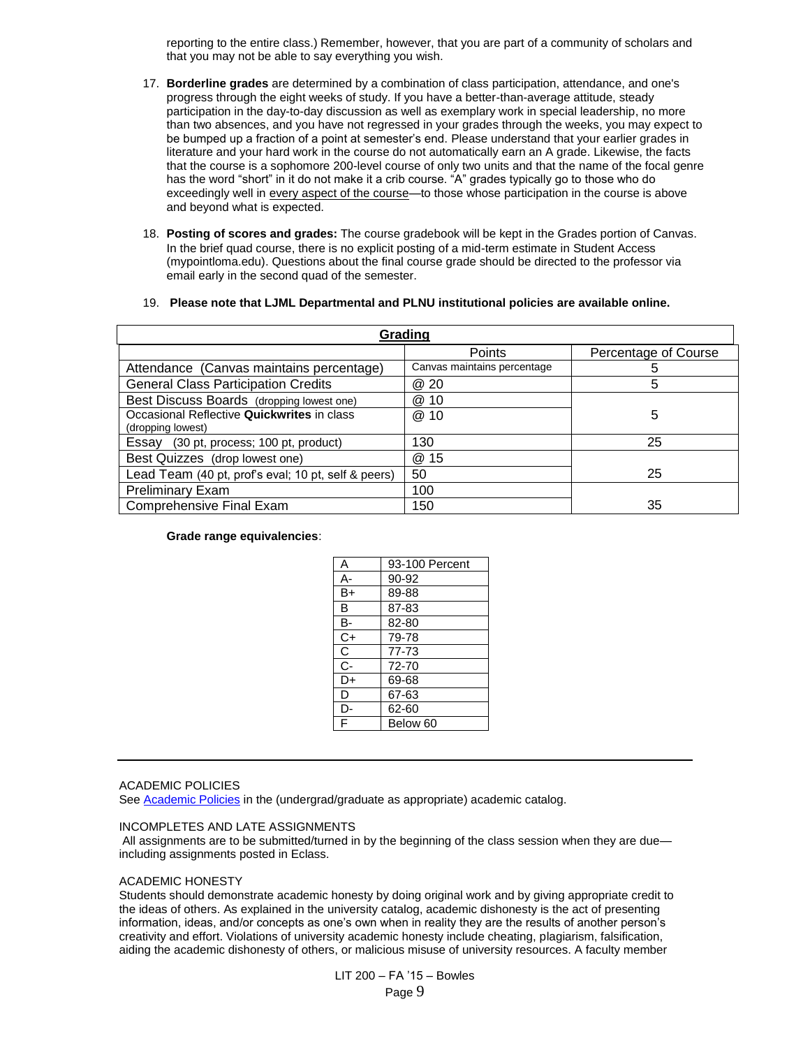reporting to the entire class.) Remember, however, that you are part of a community of scholars and that you may not be able to say everything you wish.

- 17. **Borderline grades** are determined by a combination of class participation, attendance, and one's progress through the eight weeks of study. If you have a better-than-average attitude, steady participation in the day-to-day discussion as well as exemplary work in special leadership, no more than two absences, and you have not regressed in your grades through the weeks, you may expect to be bumped up a fraction of a point at semester's end. Please understand that your earlier grades in literature and your hard work in the course do not automatically earn an A grade. Likewise, the facts that the course is a sophomore 200-level course of only two units and that the name of the focal genre has the word "short" in it do not make it a crib course. "A" grades typically go to those who do exceedingly well in every aspect of the course—to those whose participation in the course is above and beyond what is expected.
- 18. **Posting of scores and grades:** The course gradebook will be kept in the Grades portion of Canvas. In the brief quad course, there is no explicit posting of a mid-term estimate in Student Access (mypointloma.edu). Questions about the final course grade should be directed to the professor via email early in the second quad of the semester.
- 19. **Please note that LJML Departmental and PLNU institutional policies are available online.**

| Grading                                             |                             |                      |  |  |  |
|-----------------------------------------------------|-----------------------------|----------------------|--|--|--|
|                                                     | Points                      | Percentage of Course |  |  |  |
| Attendance (Canvas maintains percentage)            | Canvas maintains percentage | 5                    |  |  |  |
| <b>General Class Participation Credits</b>          | @ 20                        | 5                    |  |  |  |
| Best Discuss Boards (dropping lowest one)           | @ 10                        |                      |  |  |  |
| Occasional Reflective Quickwrites in class          | @<br>10                     | 5                    |  |  |  |
| (dropping lowest)                                   |                             |                      |  |  |  |
| Essay (30 pt, process; 100 pt, product)             | 130                         | 25                   |  |  |  |
| Best Quizzes (drop lowest one)                      | @ 15                        |                      |  |  |  |
| Lead Team (40 pt, prof's eval; 10 pt, self & peers) | 50                          | 25                   |  |  |  |
| <b>Preliminary Exam</b>                             | 100                         |                      |  |  |  |
| <b>Comprehensive Final Exam</b>                     | 150                         | 35                   |  |  |  |

#### **Grade range equivalencies**:

| А              | 93-100 Percent |
|----------------|----------------|
| А-             | 90-92          |
| B+             | 89-88          |
| В              | 87-83          |
| в-             | 82-80          |
| C+             | 79-78          |
| C              | $77 - 73$      |
| $\overline{C}$ | 72-70          |
| D+             | 69-68          |
| D              | 67-63          |
| D-             | 62-60          |
| F              | Below 60       |

#### ACADEMIC POLICIES

Se[e Academic Policies](http://catalog.pointloma.edu/content.php?catoid=8&navoid=864) in the (undergrad/graduate as appropriate) academic catalog.

#### INCOMPLETES AND LATE ASSIGNMENTS

All assignments are to be submitted/turned in by the beginning of the class session when they are due including assignments posted in Eclass.

#### ACADEMIC HONESTY

Students should demonstrate academic honesty by doing original work and by giving appropriate credit to the ideas of others. As explained in the university catalog, academic dishonesty is the act of presenting information, ideas, and/or concepts as one's own when in reality they are the results of another person's creativity and effort. Violations of university academic honesty include cheating, plagiarism, falsification, aiding the academic dishonesty of others, or malicious misuse of university resources. A faculty member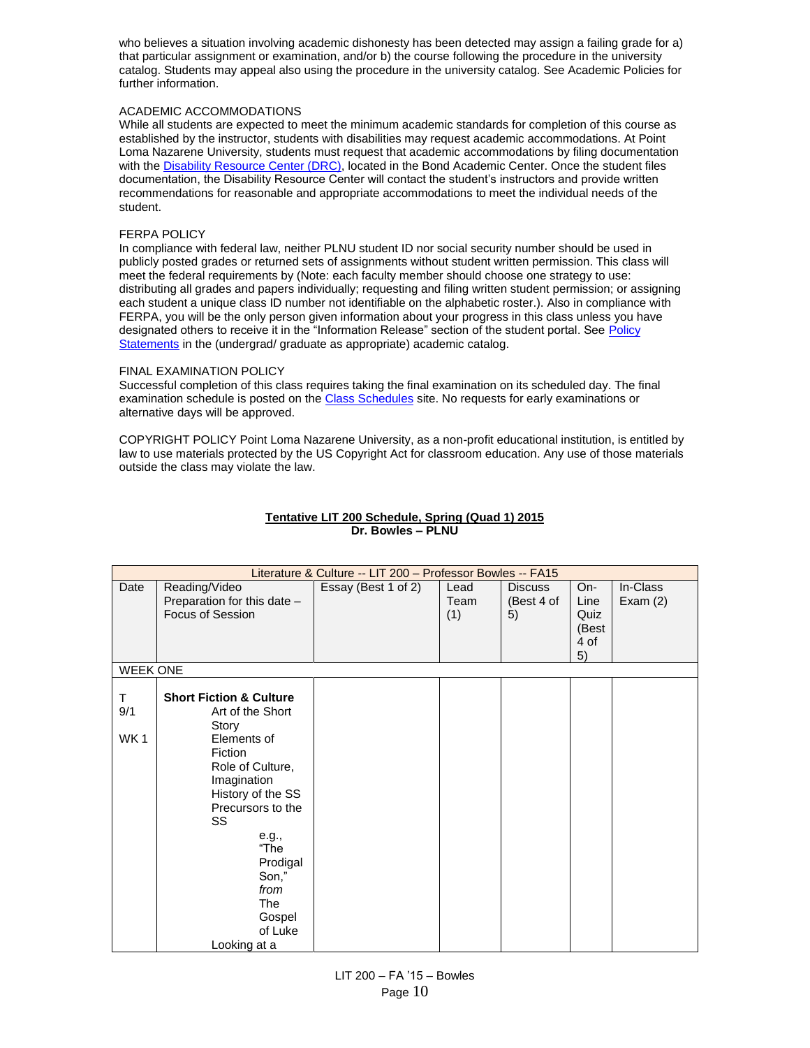who believes a situation involving academic dishonesty has been detected may assign a failing grade for a) that particular assignment or examination, and/or b) the course following the procedure in the university catalog. Students may appeal also using the procedure in the university catalog. See Academic Policies for further information.

## ACADEMIC ACCOMMODATIONS

While all students are expected to meet the minimum academic standards for completion of this course as established by the instructor, students with disabilities may request academic accommodations. At Point Loma Nazarene University, students must request that academic accommodations by filing documentation with th[e Disability Resource Center \(DRC\),](http://www.pointloma.edu/experience/offices/administrative-offices/academic-advising-office/disability-resource-center) located in the Bond Academic Center. Once the student files documentation, the Disability Resource Center will contact the student's instructors and provide written recommendations for reasonable and appropriate accommodations to meet the individual needs of the student.

## FERPA POLICY

In compliance with federal law, neither PLNU student ID nor social security number should be used in publicly posted grades or returned sets of assignments without student written permission. This class will meet the federal requirements by (Note: each faculty member should choose one strategy to use: distributing all grades and papers individually; requesting and filing written student permission; or assigning each student a unique class ID number not identifiable on the alphabetic roster.). Also in compliance with FERPA, you will be the only person given information about your progress in this class unless you have designated others to receive it in the "Information Release" section of the student portal. See [Policy](http://catalog.pointloma.edu/content.php?catoid=8&navoid=864)  [Statements](http://catalog.pointloma.edu/content.php?catoid=8&navoid=864) in the (undergrad/ graduate as appropriate) academic catalog.

## FINAL EXAMINATION POLICY

Successful completion of this class requires taking the final examination on its scheduled day. The final examination schedule is posted on th[e Class Schedules](http://www.pointloma.edu/experience/academics/class-schedules) site. No requests for early examinations or alternative days will be approved.

COPYRIGHT POLICY Point Loma Nazarene University, as a non-profit educational institution, is entitled by law to use materials protected by the US Copyright Act for classroom education. Any use of those materials outside the class may violate the law.

|                              | Literature & Culture -- LIT 200 - Professor Bowles -- FA15                                                                                                                                                                                                                    |                     |                     |                                    |                                            |                        |
|------------------------------|-------------------------------------------------------------------------------------------------------------------------------------------------------------------------------------------------------------------------------------------------------------------------------|---------------------|---------------------|------------------------------------|--------------------------------------------|------------------------|
| Date                         | Reading/Video<br>Preparation for this date -<br>Focus of Session                                                                                                                                                                                                              | Essay (Best 1 of 2) | Lead<br>Team<br>(1) | <b>Discuss</b><br>(Best 4 of<br>5) | On-<br>Line<br>Quiz<br>(Best<br>4 of<br>5) | In-Class<br>Exam $(2)$ |
| <b>WEEK ONE</b>              |                                                                                                                                                                                                                                                                               |                     |                     |                                    |                                            |                        |
| T.<br>9/1<br>WK <sub>1</sub> | <b>Short Fiction &amp; Culture</b><br>Art of the Short<br>Story<br>Elements of<br><b>Fiction</b><br>Role of Culture,<br>Imagination<br>History of the SS<br>Precursors to the<br>SS<br>e.g.,<br>"The<br>Prodigal<br>Son,"<br>from<br>The<br>Gospel<br>of Luke<br>Looking at a |                     |                     |                                    |                                            |                        |

## **Tentative LIT 200 Schedule, Spring (Quad 1) 2015 Dr. Bowles – PLNU**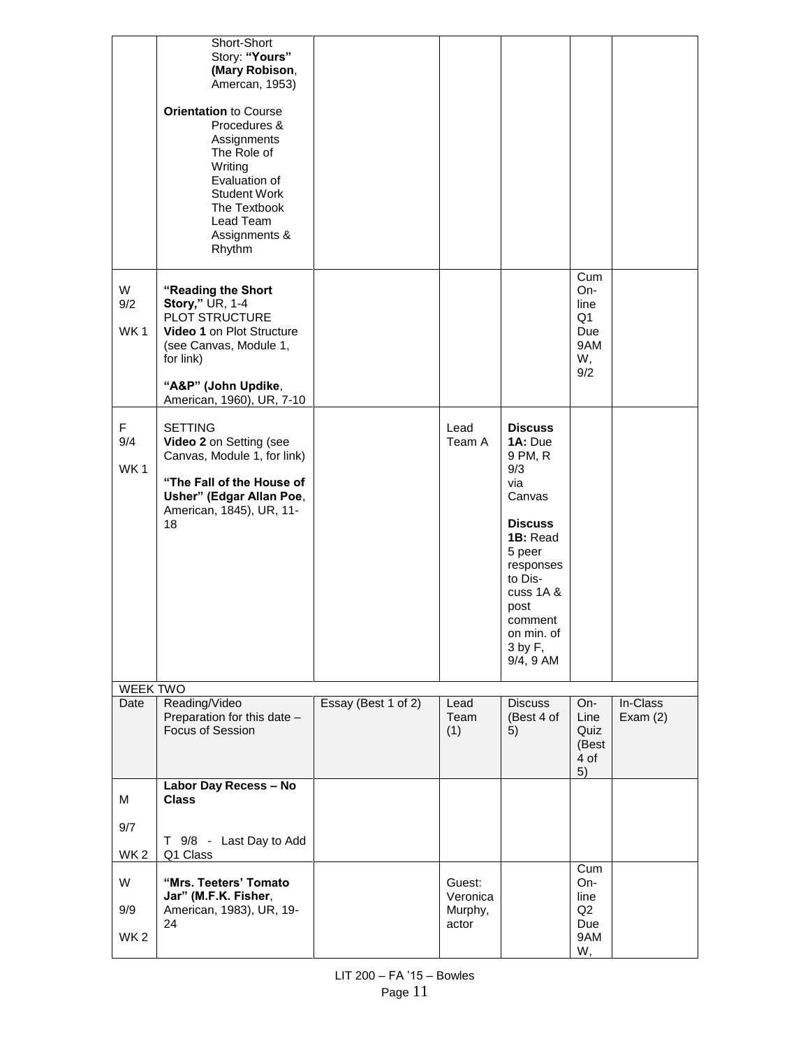|                             | Short-Short<br>Story: "Yours"<br>(Mary Robison,<br>Amercan, 1953)<br><b>Orientation to Course</b><br>Procedures &<br>Assignments<br>The Role of<br>Writing<br>Evaluation of<br><b>Student Work</b><br>The Textbook<br>Lead Team<br>Assignments &<br>Rhythm |                     |                                        |                                                                                                                                                                                                    |                                                     |                        |
|-----------------------------|------------------------------------------------------------------------------------------------------------------------------------------------------------------------------------------------------------------------------------------------------------|---------------------|----------------------------------------|----------------------------------------------------------------------------------------------------------------------------------------------------------------------------------------------------|-----------------------------------------------------|------------------------|
| W<br>9/2<br>WK1             | "Reading the Short<br>Story," UR, 1-4<br>PLOT STRUCTURE<br>Video 1 on Plot Structure<br>(see Canvas, Module 1,<br>for link)<br>"A&P" (John Updike,<br>American, 1960), UR, 7-10                                                                            |                     |                                        |                                                                                                                                                                                                    | Cum<br>On-<br>line<br>Q1<br>Due<br>9AM<br>W,<br>9/2 |                        |
| F<br>9/4<br>WK <sub>1</sub> | <b>SETTING</b><br>Video 2 on Setting (see<br>Canvas, Module 1, for link)<br>"The Fall of the House of<br>Usher" (Edgar Allan Poe,<br>American, 1845), UR, 11-<br>18                                                                                        |                     | Lead<br>Team A                         | <b>Discuss</b><br>1A: Due<br>9 PM, R<br>9/3<br>via<br>Canvas<br><b>Discuss</b><br>1B: Read<br>5 peer<br>responses<br>to Dis-<br>cuss 1A &<br>post<br>comment<br>on min. of<br>3 by F,<br>9/4, 9 AM |                                                     |                        |
| WEEK TWO                    |                                                                                                                                                                                                                                                            |                     |                                        |                                                                                                                                                                                                    |                                                     |                        |
| Date                        | Reading/Video<br>Preparation for this date -<br>Focus of Session                                                                                                                                                                                           | Essay (Best 1 of 2) | Lead<br>Team<br>(1)                    | <b>Discuss</b><br>(Best 4 of<br>5)                                                                                                                                                                 | On-<br>Line<br>Quiz<br>(Best<br>4 of<br>5)          | In-Class<br>Exam $(2)$ |
| M<br>9/7                    | Labor Day Recess - No<br><b>Class</b><br>T 9/8 - Last Day to Add                                                                                                                                                                                           |                     |                                        |                                                                                                                                                                                                    |                                                     |                        |
| WK <sub>2</sub>             | Q1 Class                                                                                                                                                                                                                                                   |                     |                                        |                                                                                                                                                                                                    |                                                     |                        |
| W<br>9/9<br>WK <sub>2</sub> | "Mrs. Teeters' Tomato<br>Jar" (M.F.K. Fisher,<br>American, 1983), UR, 19-<br>24                                                                                                                                                                            |                     | Guest:<br>Veronica<br>Murphy,<br>actor |                                                                                                                                                                                                    | Cum<br>On-<br>line<br>Q2<br>Due<br>9AM<br>W,        |                        |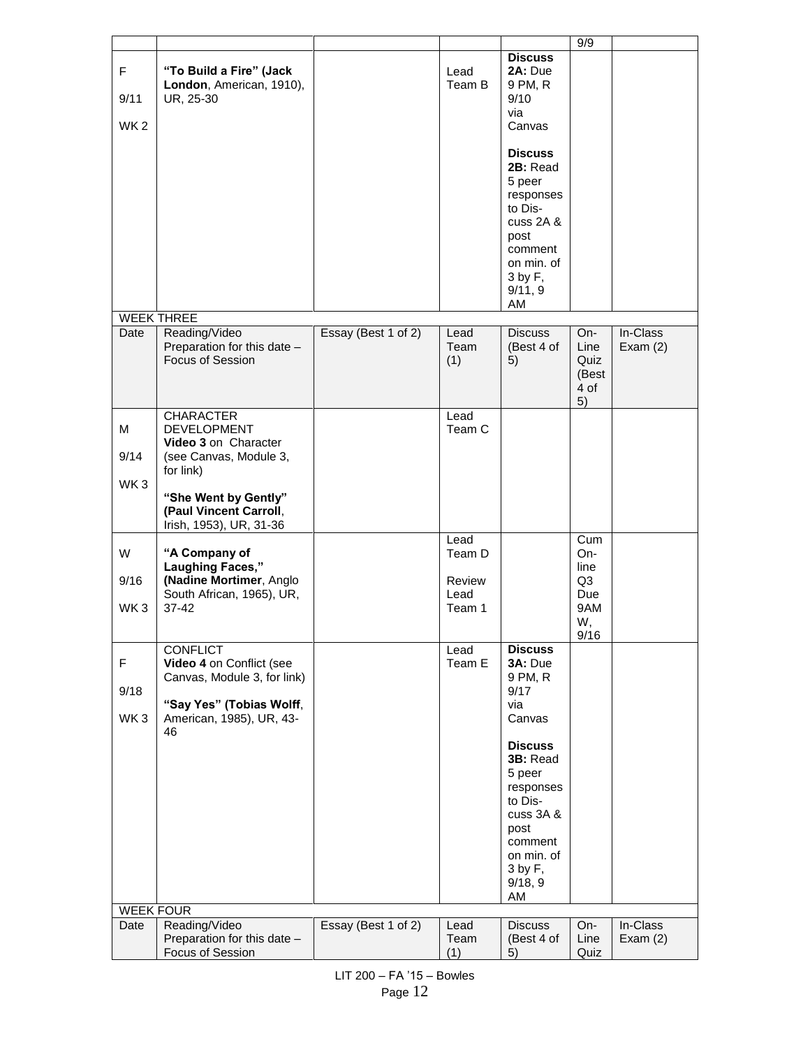|                              |                                                                                                                                                                |                     |                                    |                                                                                                                                                                                                         | 9/9                                             |                        |
|------------------------------|----------------------------------------------------------------------------------------------------------------------------------------------------------------|---------------------|------------------------------------|---------------------------------------------------------------------------------------------------------------------------------------------------------------------------------------------------------|-------------------------------------------------|------------------------|
| F<br>9/11<br>WK <sub>2</sub> | "To Build a Fire" (Jack<br>London, American, 1910),<br>UR, 25-30                                                                                               |                     | Lead<br>Team B                     | <b>Discuss</b><br>2A: Due<br>9 PM, R<br>9/10<br>via<br>Canvas<br><b>Discuss</b><br>2B: Read<br>5 peer<br>responses<br>to Dis-<br>cuss 2A &<br>post<br>comment<br>on min. of<br>3 by F,<br>9/11, 9<br>AM |                                                 |                        |
|                              | <b>WEEK THREE</b>                                                                                                                                              |                     |                                    |                                                                                                                                                                                                         |                                                 |                        |
| Date                         | Reading/Video<br>Preparation for this date -<br>Focus of Session                                                                                               | Essay (Best 1 of 2) | Lead<br>Team<br>(1)                | <b>Discuss</b><br>(Best 4 of<br>5)                                                                                                                                                                      | $On-$<br>Line<br>Quiz<br>(Best<br>4 of<br>5)    | In-Class<br>Exam $(2)$ |
|                              | <b>CHARACTER</b>                                                                                                                                               |                     | Lead                               |                                                                                                                                                                                                         |                                                 |                        |
| М<br>9/14<br>WK <sub>3</sub> | <b>DEVELOPMENT</b><br>Video 3 on Character<br>(see Canvas, Module 3,<br>for link)<br>"She Went by Gently"<br>(Paul Vincent Carroll,<br>Irish, 1953), UR, 31-36 |                     | Team C                             |                                                                                                                                                                                                         |                                                 |                        |
|                              |                                                                                                                                                                |                     | Lead                               |                                                                                                                                                                                                         | Cum                                             |                        |
| W<br>9/16<br>WK <sub>3</sub> | "A Company of<br>Laughing Faces,"<br>(Nadine Mortimer, Anglo<br>South African, 1965), UR,<br>$37 - 42$                                                         |                     | Team D<br>Review<br>Lead<br>Team 1 |                                                                                                                                                                                                         | $On-$<br>line<br>Q3<br>Due<br>9AM<br>W,<br>9/16 |                        |
|                              | <b>CONFLICT</b>                                                                                                                                                |                     | Lead                               | <b>Discuss</b>                                                                                                                                                                                          |                                                 |                        |
| F<br>9/18<br>WK <sub>3</sub> | Video 4 on Conflict (see<br>Canvas, Module 3, for link)<br>"Say Yes" (Tobias Wolff,<br>American, 1985), UR, 43-<br>46                                          |                     | Team E                             | 3A: Due<br>9 PM, R<br>9/17<br>via<br>Canvas<br><b>Discuss</b><br>3B: Read<br>5 peer<br>responses<br>to Dis-<br>cuss 3A &<br>post<br>comment<br>on min. of<br>$3$ by $F$ ,                               |                                                 |                        |
|                              |                                                                                                                                                                |                     |                                    | 9/18, 9                                                                                                                                                                                                 |                                                 |                        |
|                              |                                                                                                                                                                |                     |                                    | AM                                                                                                                                                                                                      |                                                 |                        |
| <b>WEEK FOUR</b>             |                                                                                                                                                                |                     |                                    |                                                                                                                                                                                                         |                                                 |                        |
| Date                         | Reading/Video<br>Preparation for this date -<br>Focus of Session                                                                                               | Essay (Best 1 of 2) | Lead<br>Team<br>(1)                | <b>Discuss</b><br>(Best 4 of<br>5)                                                                                                                                                                      | On-<br>Line<br>Quiz                             | In-Class<br>Exam $(2)$ |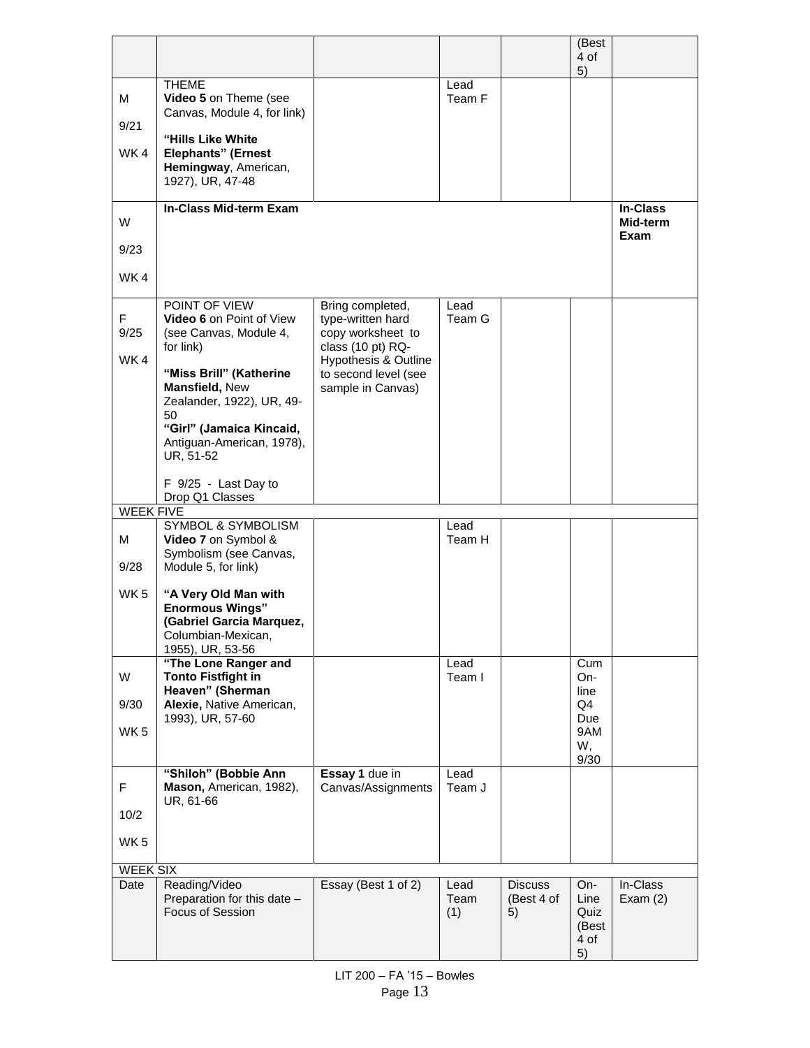|                  |                                                                         |                                              |                     |                                    | (Best<br>4 of<br>5)                        |                             |
|------------------|-------------------------------------------------------------------------|----------------------------------------------|---------------------|------------------------------------|--------------------------------------------|-----------------------------|
| м                | <b>THEME</b><br>Video 5 on Theme (see<br>Canvas, Module 4, for link)    |                                              | Lead<br>Team F      |                                    |                                            |                             |
| 9/21             | "Hills Like White                                                       |                                              |                     |                                    |                                            |                             |
| WK4              | <b>Elephants" (Ernest</b><br>Hemingway, American,<br>1927), UR, 47-48   |                                              |                     |                                    |                                            |                             |
| W                | <b>In-Class Mid-term Exam</b>                                           |                                              |                     |                                    |                                            | <b>In-Class</b><br>Mid-term |
| 9/23             |                                                                         |                                              |                     |                                    |                                            | Exam                        |
| WK4              |                                                                         |                                              |                     |                                    |                                            |                             |
| F                | POINT OF VIEW<br>Video 6 on Point of View                               | Bring completed,<br>type-written hard        | Lead<br>Team G      |                                    |                                            |                             |
| 9/25             | (see Canvas, Module 4,<br>for link)                                     | copy worksheet to<br>class (10 pt) RQ-       |                     |                                    |                                            |                             |
| WK4              | "Miss Brill" (Katherine                                                 | Hypothesis & Outline<br>to second level (see |                     |                                    |                                            |                             |
|                  | Mansfield, New<br>Zealander, 1922), UR, 49-                             | sample in Canvas)                            |                     |                                    |                                            |                             |
|                  | 50<br>"Girl" (Jamaica Kincaid,                                          |                                              |                     |                                    |                                            |                             |
|                  | Antiguan-American, 1978),<br>UR, 51-52                                  |                                              |                     |                                    |                                            |                             |
|                  | F 9/25 - Last Day to                                                    |                                              |                     |                                    |                                            |                             |
| <b>WEEK FIVE</b> | Drop Q1 Classes                                                         |                                              |                     |                                    |                                            |                             |
| M                | <b>SYMBOL &amp; SYMBOLISM</b><br>Video 7 on Symbol &                    |                                              | Lead<br>Team H      |                                    |                                            |                             |
| 9/28             | Symbolism (see Canvas,<br>Module 5, for link)                           |                                              |                     |                                    |                                            |                             |
| WK <sub>5</sub>  | "A Very Old Man with                                                    |                                              |                     |                                    |                                            |                             |
|                  | <b>Enormous Wings"</b>                                                  |                                              |                     |                                    |                                            |                             |
|                  | (Gabriel Garcia Marquez,<br>Columbian-Mexican,                          |                                              |                     |                                    |                                            |                             |
|                  | 1955), UR, 53-56<br>"The Lone Ranger and                                |                                              | Lead                |                                    | Cum                                        |                             |
| W                | <b>Tonto Fistfight in</b><br>Heaven" (Sherman                           |                                              | Team I              |                                    | On-<br>line                                |                             |
| 9/30             | Alexie, Native American,<br>1993), UR, 57-60                            |                                              |                     |                                    | Q4<br>Due                                  |                             |
| WK <sub>5</sub>  |                                                                         |                                              |                     |                                    | 9AM<br>W,                                  |                             |
|                  |                                                                         |                                              |                     |                                    | 9/30                                       |                             |
| F.               | "Shiloh" (Bobbie Ann<br>Mason, American, 1982),                         | Essay 1 due in<br>Canvas/Assignments         | Lead<br>Team J      |                                    |                                            |                             |
| 10/2             | UR, 61-66                                                               |                                              |                     |                                    |                                            |                             |
| WK <sub>5</sub>  |                                                                         |                                              |                     |                                    |                                            |                             |
| <b>WEEK SIX</b>  |                                                                         |                                              |                     |                                    |                                            |                             |
| Date             | Reading/Video<br>Preparation for this date -<br><b>Focus of Session</b> | Essay (Best 1 of 2)                          | Lead<br>Team<br>(1) | <b>Discuss</b><br>(Best 4 of<br>5) | On-<br>Line<br>Quiz<br>(Best<br>4 of<br>5) | In-Class<br>Exam $(2)$      |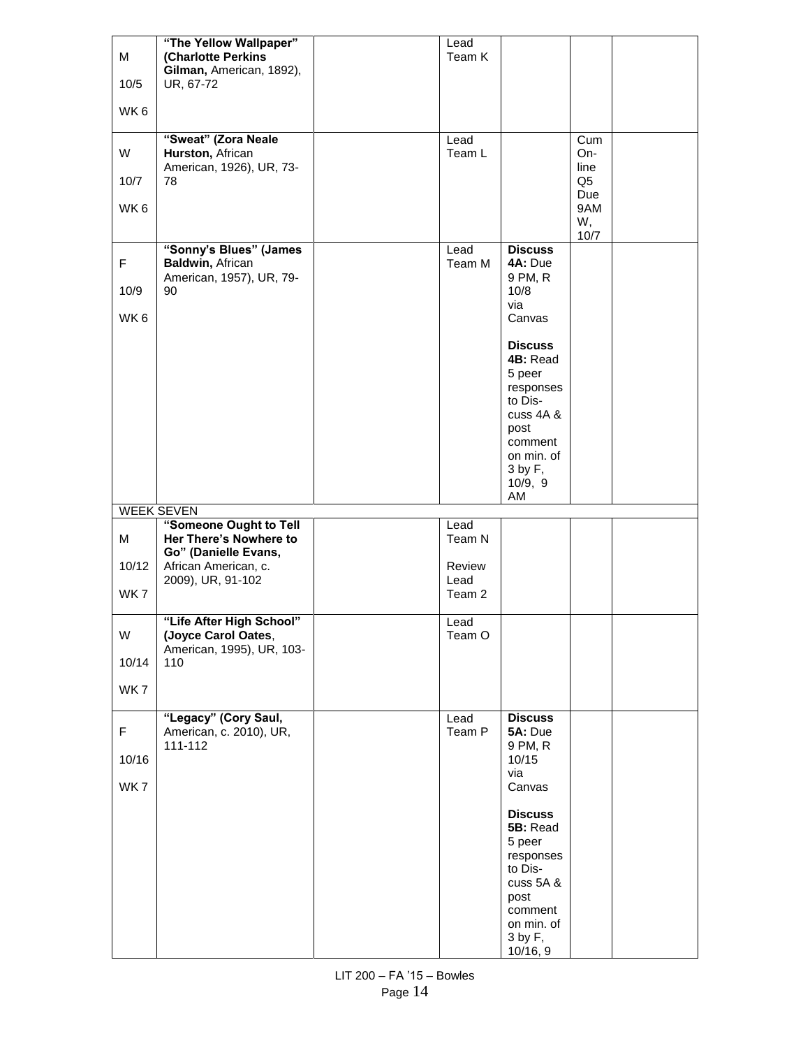| M           | "The Yellow Wallpaper"<br>(Charlotte Perkins                           | Lead<br>Team K |                                       |                          |  |
|-------------|------------------------------------------------------------------------|----------------|---------------------------------------|--------------------------|--|
| 10/5        | Gilman, American, 1892),<br>UR, 67-72                                  |                |                                       |                          |  |
| WK6         |                                                                        |                |                                       |                          |  |
| W           | "Sweat" (Zora Neale<br>Hurston, African                                | Lead<br>Team L |                                       | Cum<br>On-               |  |
| 10/7        | American, 1926), UR, 73-<br>78                                         |                |                                       | line<br>Q5               |  |
| WK6         |                                                                        |                |                                       | Due<br>9AM<br>W,<br>10/7 |  |
| F           | "Sonny's Blues" (James<br>Baldwin, African<br>American, 1957), UR, 79- | Lead<br>Team M | <b>Discuss</b><br>4A: Due<br>9 PM, R  |                          |  |
| 10/9        | 90                                                                     |                | 10/8<br>via                           |                          |  |
| WK6         |                                                                        |                | Canvas                                |                          |  |
|             |                                                                        |                | <b>Discuss</b><br>4B: Read<br>5 peer  |                          |  |
|             |                                                                        |                | responses<br>to Dis-                  |                          |  |
|             |                                                                        |                | cuss 4A &<br>post                     |                          |  |
|             |                                                                        |                | comment<br>on min. of                 |                          |  |
|             |                                                                        |                | $3$ by $F$ ,                          |                          |  |
|             |                                                                        |                | 10/9, 9                               |                          |  |
|             |                                                                        |                | AM                                    |                          |  |
|             | <b>WEEK SEVEN</b>                                                      |                |                                       |                          |  |
| M           | "Someone Ought to Tell<br>Her There's Nowhere to                       | Lead<br>Team N |                                       |                          |  |
| 10/12       | Go" (Danielle Evans,<br>African American, c.                           | Review         |                                       |                          |  |
| WK7         | 2009), UR, 91-102                                                      | Lead<br>Team 2 |                                       |                          |  |
| W           | "Life After High School"<br>(Joyce Carol Oates,                        | Lead<br>Team O |                                       |                          |  |
| 10/14       | American, 1995), UR, 103-<br>110                                       |                |                                       |                          |  |
| WK7         |                                                                        |                |                                       |                          |  |
| $\mathsf F$ | "Legacy" (Cory Saul,<br>American, c. 2010), UR,                        | Lead<br>Team P | <b>Discuss</b><br>5A: Due             |                          |  |
| 10/16       | 111-112                                                                |                | 9 PM, R<br>10/15                      |                          |  |
| WK7         |                                                                        |                | via<br>Canvas                         |                          |  |
|             |                                                                        |                | <b>Discuss</b><br>5B: Read            |                          |  |
|             |                                                                        |                | 5 peer                                |                          |  |
|             |                                                                        |                | responses<br>to Dis-                  |                          |  |
|             |                                                                        |                | cuss 5A &<br>post                     |                          |  |
|             |                                                                        |                | comment<br>on min. of<br>$3$ by $F$ , |                          |  |